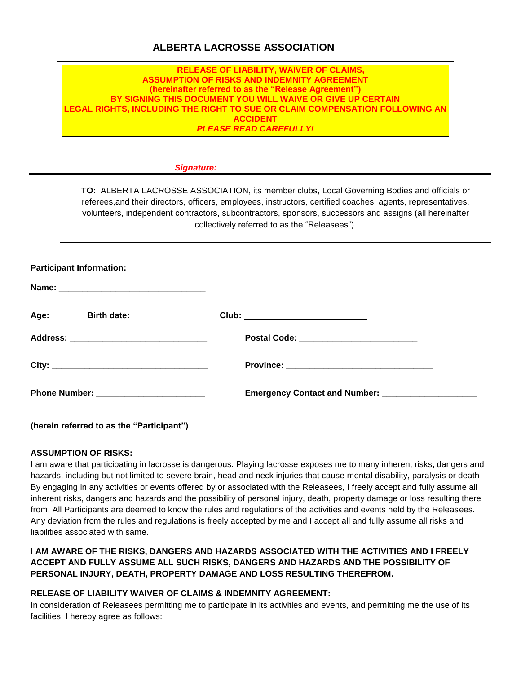# **ALBERTA LACROSSE ASSOCIATION**

## **RELEASE OF LIABILITY, WAIVER OF CLAIMS, ASSUMPTION OF RISKS AND INDEMNITY AGREEMENT (hereinafter referred to as the "Release Agreement") BY SIGNING THIS DOCUMENT YOU WILL WAIVE OR GIVE UP CERTAIN LEGAL RIGHTS, INCLUDING THE RIGHT TO SUE OR CLAIM COMPENSATION FOLLOWING AN ACCIDENT** *PLEASE READ CAREFULLY!*

#### *Signature:*

**TO:** ALBERTA LACROSSE ASSOCIATION, its member clubs, Local Governing Bodies and officials or referees,and their directors, officers, employees, instructors, certified coaches, agents, representatives, volunteers, independent contractors, subcontractors, sponsors, successors and assigns (all hereinafter collectively referred to as the "Releasees").

| Age: ________ Birth date: _____________________ Club: __________________________ |
|----------------------------------------------------------------------------------|
| Postal Code: _____________________________                                       |
|                                                                                  |
| Emergency Contact and Number: ______________________                             |
|                                                                                  |

**(herein referred to as the "Participant")**

### **ASSUMPTION OF RISKS:**

I am aware that participating in lacrosse is dangerous. Playing lacrosse exposes me to many inherent risks, dangers and hazards, including but not limited to severe brain, head and neck injuries that cause mental disability, paralysis or death By engaging in any activities or events offered by or associated with the Releasees, I freely accept and fully assume all inherent risks, dangers and hazards and the possibility of personal injury, death, property damage or loss resulting there from. All Participants are deemed to know the rules and regulations of the activities and events held by the Releasees. Any deviation from the rules and regulations is freely accepted by me and I accept all and fully assume all risks and liabilities associated with same.

## **I AM AWARE OF THE RISKS, DANGERS AND HAZARDS ASSOCIATED WITH THE ACTIVITIES AND I FREELY ACCEPT AND FULLY ASSUME ALL SUCH RISKS, DANGERS AND HAZARDS AND THE POSSIBILITY OF PERSONAL INJURY, DEATH, PROPERTY DAMAGE AND LOSS RESULTING THEREFROM.**

## **RELEASE OF LIABILITY WAIVER OF CLAIMS & INDEMNITY AGREEMENT:**

In consideration of Releasees permitting me to participate in its activities and events, and permitting me the use of its facilities, I hereby agree as follows: